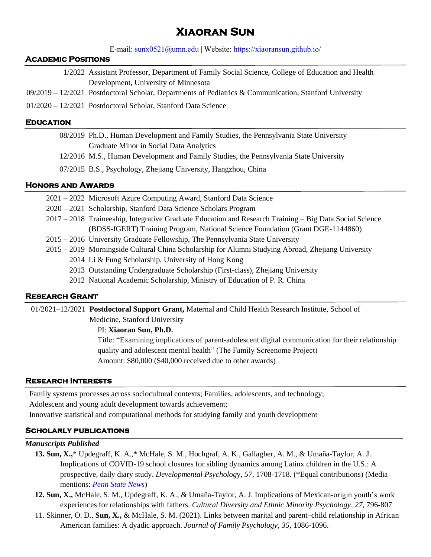# **Xiaoran Sun**

E-mail: [sunx0521@umn.edu](mailto:sunx0521@umn.edu) | Website: <https://xiaoransun.github.io/>

#### **Academic Positions**

- 1/2022 Assistant Professor, Department of Family Social Science, College of Education and Health Development, University of Minnesota
- 09/2019 12/2021 Postdoctoral Scholar, Departments of Pediatrics & Communication, Stanford University
- 01/2020 12/2021 Postdoctoral Scholar, Stanford Data Science

#### **Education**

- 08/2019 Ph.D., Human Development and Family Studies, the Pennsylvania State University Graduate Minor in Social Data Analytics
- 12/2016 M.S., Human Development and Family Studies, the Pennsylvania State University
- 07/2015 B.S., Psychology, Zhejiang University, Hangzhou, China

# **Honors and Awards**

- 2021 2022 Microsoft Azure Computing Award, Stanford Data Science
- 2020 2021 Scholarship, Stanford Data Science Scholars Program
- 2017 2018 Traineeship, Integrative Graduate Education and Research Training Big Data Social Science (BDSS-IGERT) Training Program, National Science Foundation (Grant DGE-1144860)
- 2015 2016 University Graduate Fellowship, The Pennsylvania State University
- 2015 2019 Morningside Cultural China Scholarship for Alumni Studying Abroad, Zhejiang University
	- 2014 Li & Fung Scholarship, University of Hong Kong
	- 2013 Outstanding Undergraduate Scholarship (First-class), Zhejiang University
	- 2012 National Academic Scholarship, Ministry of Education of P. R. China

# **Research Grant**

01/2021–12/2021 **Postdoctoral Support Grant,** Maternal and Child Health Research Institute, School of

Medicine, Stanford University

# PI: **Xiaoran Sun, Ph.D.**

Title: "Examining implications of parent-adolescent digital communication for their relationship quality and adolescent mental health" (The Family Screenome Project) Amount: \$80,000 (\$40,000 received due to other awards)

#### **Research Interests**

Family systems processes across sociocultural contexts; Families, adolescents, and technology; Adolescent and young adult development towards achievement;

Innovative statistical and computational methods for studying family and youth development

# **Scholarly publications**

#### *Manuscripts Published*

- **13. Sun, X.,**\* Updegraff, K. A.,\* McHale, S. M., Hochgraf, A. K., Gallagher, A. M., & Umaña-Taylor, A. J. Implications of COVID-19 school closures for sibling dynamics among Latinx children in the U.S.: A prospective, daily diary study. *Developmental Psycholog*y*, 57*, 1708-1718*.* (\*Equal contributions) (Media mentions: *[Penn State News](https://www.psu.edu/news/social-science-research-institute/story/impacts-covid-19-school-closures-latino-sibling/)*)
- **12. Sun, X.,** McHale, S. M., Updegraff, K. A., & Umaña-Taylor, A. J. Implications of Mexican-origin youth's work experiences for relationships with fathers*. Cultural Diversity and Ethnic Minority Psychology, 27,* 796-807
- 11. Skinner, O. D., **Sun, X.,** & McHale, S. M. (2021). Links between marital and parent–child relationship in African American families: A dyadic approach. *Journal of Family Psychology, 35,* 1086-1096.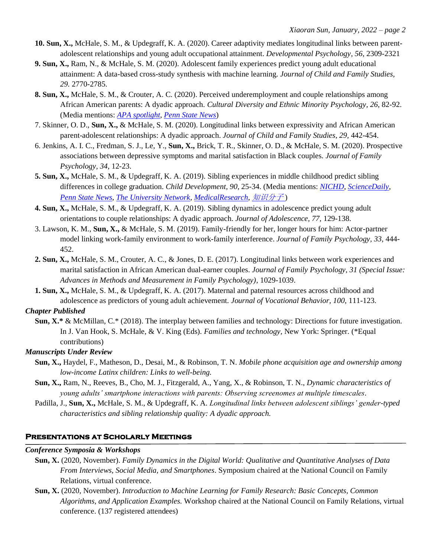- **10. Sun, X.,** McHale, S. M., & Updegraff, K. A. (2020). Career adaptivity mediates longitudinal links between parentadolescent relationships and young adult occupational attainment. *Developmental Psychology, 56*, 2309-2321
- **9. Sun, X.,** Ram, N., & McHale, S. M. (2020). Adolescent family experiences predict young adult educational attainment: A data-based cross-study synthesis with machine learning*. Journal of Child and Family Studies, 29.* 2770-2785.
- **8. Sun, X.,** McHale, S. M., & Crouter, A. C. (2020). Perceived underemployment and couple relationships among African American parents: A dyadic approach*. Cultural Diversity and Ethnic Minority Psychology, 26*, 82-92. (Media mentions: *[APA spotlight](https://www.apa.org/pubs/highlights/spotlight/issue-173)*, *[Penn State News](https://news.psu.edu/story/607964/2020/02/12/research/underemployment-affects-african-american-parents-and-their)*)
- 7. Skinner, O. D., **Sun, X.,** & McHale, S. M. (2020). Longitudinal links between expressivity and African American parent-adolescent relationships: A dyadic approach. *Journal of Child and Family Studies, 29,* 442-454.
- 6. Jenkins, A. I. C., Fredman, S. J., Le, Y., **Sun, X.,** Brick, T. R., Skinner, O. D., & McHale, S. M. (2020). Prospective associations between depressive symptoms and marital satisfaction in Black couples. *Journal of Family Psychology, 34*, 12-23.
- **5. Sun, X.,** McHale, S. M., & Updegraff, K. A. (2019). Sibling experiences in middle childhood predict sibling differences in college graduation. *Child Development, 90*, 25-34. (Media mentions: *[NICHD](https://www.nichd.nih.gov/newsroom/releases/062618-siblings)*, *[ScienceDaily](https://www.sciencedaily.com/releases/2018/04/180417115808.htm)*, *[Penn State News](https://news.psu.edu/story/524771/2018/06/18/research/childhood-sibling-dynamics-may-predict-differences-college)*, *[The University Network,](https://www.tun.com/blog/sibling-relationships-predict-educational-success/) [MedicalResearch](https://medicalresearch.com/author-interviews/sibling-closeness-in-middle-school-predicts-differences-in-college-graduation/42678/)*, [知识分子](http://www.zhishifenzi.com/depth/depth/4726.html) )
- **4. Sun, X.,** McHale, S. M., & Updegraff, K. A. (2019). Sibling dynamics in adolescence predict young adult orientations to couple relationships: A dyadic approach. *Journal of Adolescence, 77,* 129-138.
- 3. Lawson, K. M., **Sun, X.,** & McHale, S. M. (2019). Family-friendly for her, longer hours for him: Actor-partner model linking work-family environment to work-family interference. *Journal of Family Psychology, 33,* 444- 452.
- **2. Sun, X.,** McHale, S. M., Crouter, A. C., & Jones, D. E. (2017). Longitudinal links between work experiences and marital satisfaction in African American dual-earner couples. *Journal of Family Psychology, 31 (Special Issue: Advances in Methods and Measurement in Family Psychology),* 1029-1039.
- **1. Sun, X.,** McHale, S. M., & Updegraff, K. A. (2017). Maternal and paternal resources across childhood and adolescence as predictors of young adult achievement. *Journal of Vocational Behavior, 100*, 111-123.

# *Chapter Published*

**Sun, X.\*** & McMillan, C.\* (2018). The interplay between families and technology: Directions for future investigation. In J. Van Hook, S. McHale, & V. King (Eds). *Families and technology,* New York: Springer*.* (\*Equal contributions)

# *Manuscripts Under Review*

- **Sun, X.,** Haydel, F., Matheson, D., Desai, M., & Robinson, T. N. *Mobile phone acquisition age and ownership among low-income Latinx children: Links to well-being.*
- **Sun, X.,** Ram, N., Reeves, B., Cho, M. J., Fitzgerald, A., Yang, X., & Robinson, T. N., *Dynamic characteristics of young adults' smartphone interactions with parents: Observing screenomes at multiple timescales.*
- Padilla, J., **Sun, X.,** McHale, S. M., & Updegraff, K. A. *Longitudinal links between adolescent siblings' gender-typed characteristics and sibling relationship quality: A dyadic approach.*

# **Presentations at Scholarly Meetings**

#### *Conference Symposia & Workshops*

- **Sun, X.** (2020, November). *Family Dynamics in the Digital World: Qualitative and Quantitative Analyses of Data From Interviews, Social Media, and Smartphones*. Symposium chaired at the National Council on Family Relations, virtual conference.
- **Sun, X.** (2020, November). *Introduction to Machine Learning for Family Research: Basic Concepts, Common Algorithms, and Application Examples.* Workshop chaired at the National Council on Family Relations, virtual conference. (137 registered attendees)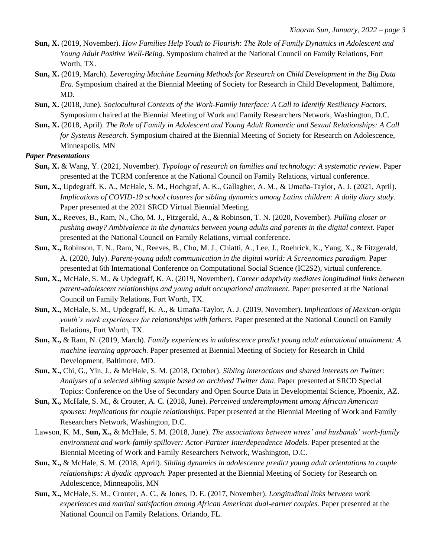- **Sun, X.** (2019, November). *How Families Help Youth to Flourish: The Role of Family Dynamics in Adolescent and Young Adult Positive Well-Being*. Symposium chaired at the National Council on Family Relations, Fort Worth, TX.
- **Sun, X.** (2019, March). *Leveraging Machine Learning Methods for Research on Child Development in the Big Data Era.* Symposium chaired at the Biennial Meeting of Society for Research in Child Development, Baltimore, MD.
- **Sun, X.** (2018, June). *Sociocultural Contexts of the Work-Family Interface: A Call to Identify Resiliency Factors.* Symposium chaired at the Biennial Meeting of Work and Family Researchers Network, Washington, D.C.
- **Sun, X.** (2018, April). *The Role of Family in Adolescent and Young Adult Romantic and Sexual Relationships: A Call for Systems Research.* Symposium chaired at the Biennial Meeting of Society for Research on Adolescence, Minneapolis, MN

#### *Paper Presentations*

- **Sun, X.** & Wang, Y. (2021, November). *Typology of research on families and technology: A systematic review*. Paper presented at the TCRM conference at the National Council on Family Relations, virtual conference.
- **Sun, X.,** Updegraff, K. A., McHale, S. M., Hochgraf, A. K., Gallagher, A. M., & Umaña-Taylor, A. J. (2021, April). *Implications of COVID-19 school closures for sibling dynamics among Latinx children: A daily diary study*. Paper presented at the 2021 SRCD Virtual Biennial Meeting.
- **Sun, X.,** Reeves, B., Ram, N., Cho, M. J., Fitzgerald, A., & Robinson, T. N. (2020, November). *Pulling closer or pushing away? Ambivalence in the dynamics between young adults and parents in the digital context.* Paper presented at the National Council on Family Relations, virtual conference.
- **Sun, X.,** Robinson, T. N., Ram, N., Reeves, B., Cho, M. J., Chiatti, A., Lee, J., Roehrick, K., Yang, X., & Fitzgerald, A. (2020, July). *Parent-young adult communication in the digital world: A Screenomics paradigm.* Paper presented at 6th International Conference on Computational Social Science (IC2S2), virtual conference.
- **Sun, X.,** McHale, S. M., & Updegraff, K. A. (2019, November). *Career adaptivity mediates longitudinal links between parent-adolescent relationships and young adult occupational attainment.* Paper presented at the National Council on Family Relations, Fort Worth, TX.
- **Sun, X.,** McHale, S. M., Updegraff, K. A., & Umaña-Taylor, A. J. (2019, November). I*mplications of Mexican-origin youth's work experiences for relationships with fathers.* Paper presented at the National Council on Family Relations, Fort Worth, TX.
- **Sun, X.,** & Ram, N. (2019, March). *Family experiences in adolescence predict young adult educational attainment: A machine learning approach.* Paper presented at Biennial Meeting of Society for Research in Child Development, Baltimore, MD.
- **Sun, X.,** Chi, G., Yin, J., & McHale, S. M. (2018, October). *Sibling interactions and shared interests on Twitter: Analyses of a selected sibling sample based on archived Twitter data*. Paper presented at SRCD Special Topics: Conference on the Use of Secondary and Open Source Data in Developmental Science, Phoenix, AZ.
- **Sun, X.,** McHale, S. M., & Crouter, A. C. (2018, June). *Perceived underemployment among African American spouses: Implications for couple relationships.* Paper presented at the Biennial Meeting of Work and Family Researchers Network, Washington, D.C.
- Lawson, K. M., **Sun, X.,** & McHale, S. M. (2018, June). *The associations between wives' and husbands' work-family environment and work-family spillover: Actor-Partner Interdependence Models.* Paper presented at the Biennial Meeting of Work and Family Researchers Network, Washington, D.C.
- **Sun, X.,** & McHale, S. M. (2018, April). *Sibling dynamics in adolescence predict young adult orientations to couple relationships: A dyadic approach.* Paper presented at the Biennial Meeting of Society for Research on Adolescence, Minneapolis, MN
- **Sun, X.,** McHale, S. M., Crouter, A. C., & Jones, D. E. (2017, November). *Longitudinal links between work experiences and marital satisfaction among African American dual-earner couples.* Paper presented at the National Council on Family Relations. Orlando, FL.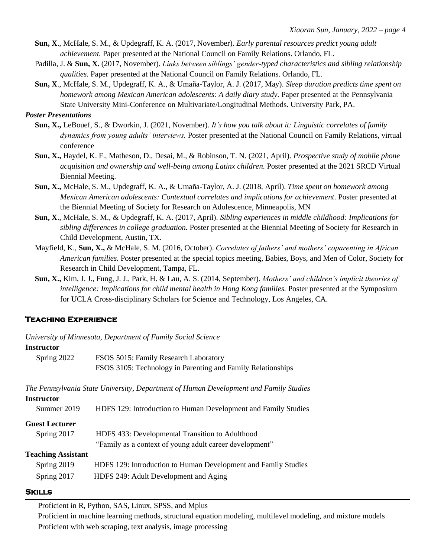- **Sun, X**., McHale, S. M., & Updegraff, K. A. (2017, November). *Early parental resources predict young adult achievement.* Paper presented at the National Council on Family Relations. Orlando, FL.
- Padilla, J. & **Sun, X.** (2017, November). *Links between siblings' gender-typed characteristics and sibling relationship qualities.* Paper presented at the National Council on Family Relations. Orlando, FL.
- **Sun, X**., McHale, S. M., Updegraff, K. A., & Umaña-Taylor, A. J. (2017, May). *Sleep duration predicts time spent on homework among Mexican American adolescents: A daily diary study.* Paper presented at the Pennsylvania State University Mini-Conference on Multivariate/Longitudinal Methods. University Park, PA.

#### *Poster Presentations*

- **Sun, X.,** LeBouef, S., & Dworkin, J. (2021, November). *It's how you talk about it: Linguistic correlates of family dynamics from young adults' interviews.* Poster presented at the National Council on Family Relations, virtual conference
- **Sun, X.,** Haydel, K. F., Matheson, D., Desai, M., & Robinson, T. N. (2021, April). *Prospective study of mobile phone acquisition and ownership and well-being among Latinx children.* Poster presented at the 2021 SRCD Virtual Biennial Meeting.
- **Sun, X.,** McHale, S. M., Updegraff, K. A., & Umaña-Taylor, A. J. (2018, April). *Time spent on homework among Mexican American adolescents: Contextual correlates and implications for achievement.* Poster presented at the Biennial Meeting of Society for Research on Adolescence, Minneapolis, MN
- **Sun, X**., McHale, S. M., & Updegraff, K. A. (2017, April). *Sibling experiences in middle childhood: Implications for sibling differences in college graduation.* Poster presented at the Biennial Meeting of Society for Research in Child Development, Austin, TX.
- Mayfield, K., **Sun, X.,** & McHale, S. M. (2016, October). *Correlates of fathers' and mothers' coparenting in African American families.* Poster presented at the special topics meeting, Babies, Boys, and Men of Color, Society for Research in Child Development, Tampa, FL.
- **Sun, X.,** Kim, J. J., Fung, J. J., Park, H. & Lau, A. S. (2014, September). *Mothers' and children's implicit theories of intelligence: Implications for child mental health in Hong Kong families.* Poster presented at the Symposium for UCLA Cross-disciplinary Scholars for Science and Technology, Los Angeles, CA.

#### **Teaching Experience**

*University of Minnesota, Department of Family Social Science*

#### **Instructor**

| Spring 2022 | FSOS 5015: Family Research Laboratory                       |
|-------------|-------------------------------------------------------------|
|             | FSOS 3105: Technology in Parenting and Family Relationships |

*The Pennsylvania State University, Department of Human Development and Family Studies*

| Instructor                |                                                                |
|---------------------------|----------------------------------------------------------------|
| Summer 2019               | HDFS 129: Introduction to Human Development and Family Studies |
| <b>Guest Lecturer</b>     |                                                                |
| Spring 2017               | HDFS 433: Developmental Transition to Adulthood                |
|                           | "Family as a context of young adult career development"        |
| <b>Teaching Assistant</b> |                                                                |
| Spring 2019               | HDFS 129: Introduction to Human Development and Family Studies |
| Spring 2017               | HDFS 249: Adult Development and Aging                          |
|                           |                                                                |

#### **Skills**

Proficient in R, Python, SAS, Linux, SPSS, and Mplus

Proficient in machine learning methods, structural equation modeling, multilevel modeling, and mixture models Proficient with web scraping, text analysis, image processing